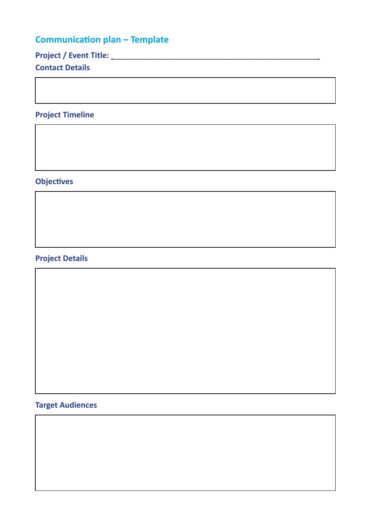# **Communication plan – Template**

**Project / Event Title: \_\_\_\_\_\_\_\_\_\_\_\_\_\_\_\_\_\_\_\_\_\_\_\_\_\_\_\_\_\_\_\_\_\_\_\_\_\_\_\_\_\_\_\_\_\_\_\_**

#### **Contact Details**

### **Project Timeline**

#### **Objectives**

## **Project Details**

### **Target Audiences**